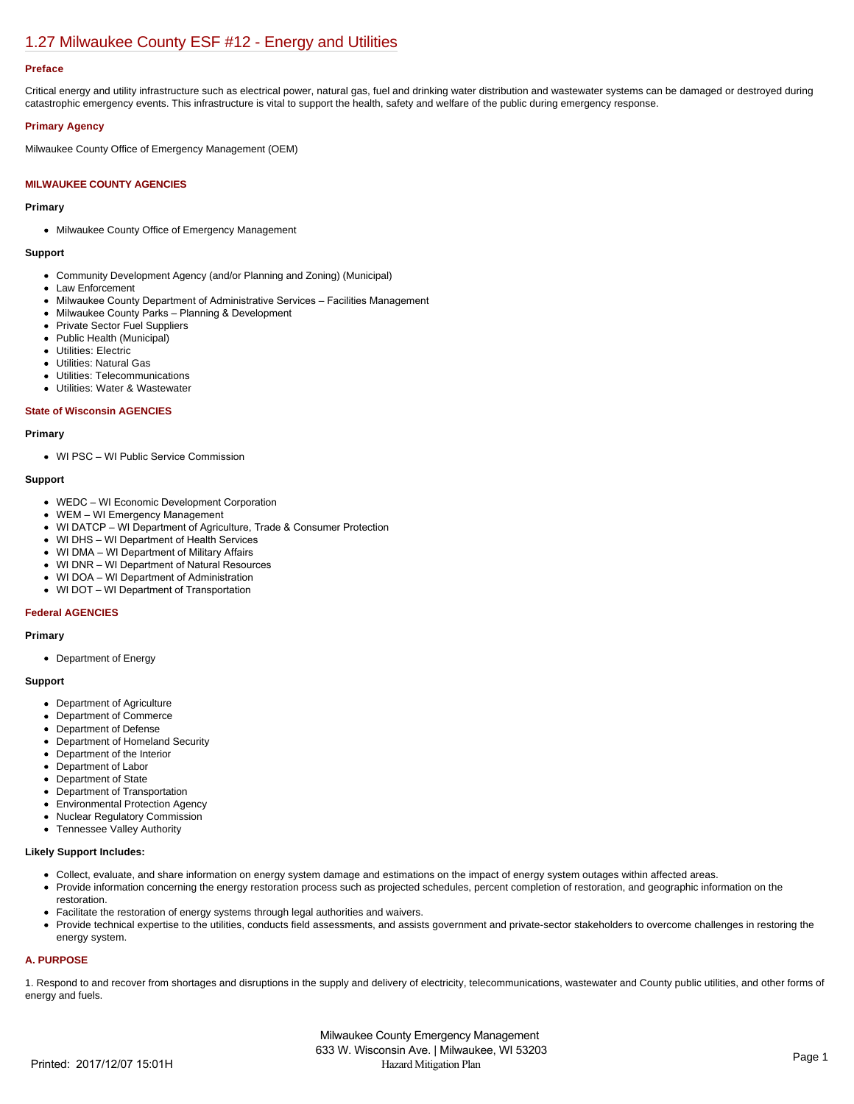# [1.27 Milwaukee County ESF #12 - Energy and Utilities](https://milwaukeecounty.isc-cemp.com/Cemp/Details?id=5805903)

## **Preface**

Critical energy and utility infrastructure such as electrical power, natural gas, fuel and drinking water distribution and wastewater systems can be damaged or destroyed during catastrophic emergency events. This infrastructure is vital to support the health, safety and welfare of the public during emergency response.

## **Primary Agency**

Milwaukee County Office of Emergency Management (OEM)

## **MILWAUKEE COUNTY AGENCIES**

#### **Primary**

Milwaukee County Office of Emergency Management

#### **Support**

- Community Development Agency (and/or Planning and Zoning) (Municipal)
- Law Enforcement
- Milwaukee County Department of Administrative Services Facilities Management
- Milwaukee County Parks Planning & Development
- Private Sector Fuel Suppliers
- Public Health (Municipal)
- Utilities: Electric
- Utilities: Natural Gas
- Utilities: Telecommunications Utilities: Water & Wastewater  $\bullet$
- 

## **State of Wisconsin AGENCIES**

#### **Primary**

WI PSC – WI Public Service Commission

## **Support**

- WEDC WI Economic Development Corporation
- WEM WI Emergency Management
- WI DATCP WI Department of Agriculture, Trade & Consumer Protection
- WI DHS WI Department of Health Services
- WI DMA WI Department of Military Affairs
- WI DNR WI Department of Natural Resources
- WI DOA WI Department of Administration
- WI DOT WI Department of Transportation

#### **Federal AGENCIES**

## **Primary**

Department of Energy

## **Support**

- Department of Agriculture
- Department of Commerce
- Department of Defense
- Department of Homeland Security
- Department of the Interior
- Department of Labor  $\bullet$
- Department of State
- Department of Transportation
- Environmental Protection Agency  $\bullet$
- Nuclear Regulatory Commission
- Tennessee Valley Authority

## **Likely Support Includes:**

- Collect, evaluate, and share information on energy system damage and estimations on the impact of energy system outages within affected areas.
- Provide information concerning the energy restoration process such as projected schedules, percent completion of restoration, and geographic information on the restoration.
- Facilitate the restoration of energy systems through legal authorities and waivers.
- Provide technical expertise to the utilities, conducts field assessments, and assists government and private-sector stakeholders to overcome challenges in restoring the energy system.

## **A. PURPOSE**

1. Respond to and recover from shortages and disruptions in the supply and delivery of electricity, telecommunications, wastewater and County public utilities, and other forms of energy and fuels.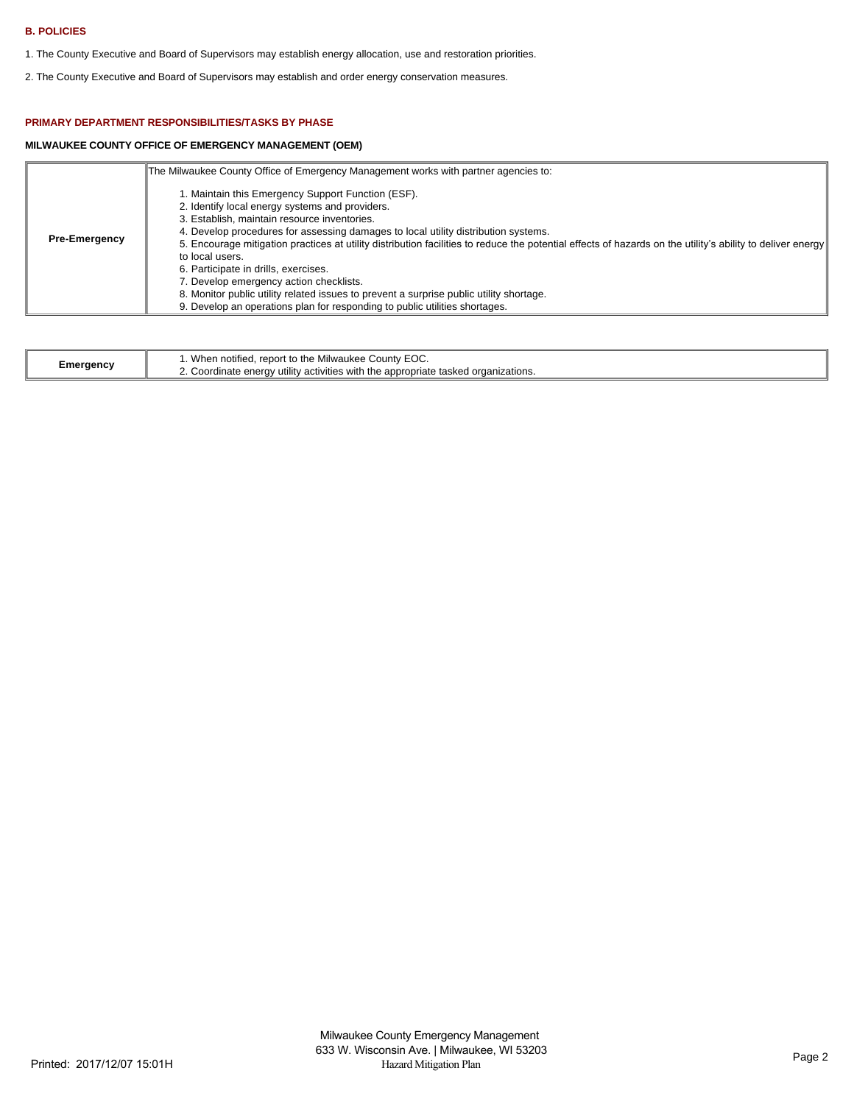## **B. POLICIES**

- 1. The County Executive and Board of Supervisors may establish energy allocation, use and restoration priorities.
- 2. The County Executive and Board of Supervisors may establish and order energy conservation measures.

## **PRIMARY DEPARTMENT RESPONSIBILITIES/TASKS BY PHASE**

## **MILWAUKEE COUNTY OFFICE OF EMERGENCY MANAGEMENT (OEM)**

|                      | The Milwaukee County Office of Emergency Management works with partner agencies to:                                                                                                                                                                                                                                                                                                                                                                                                                                                                                                                                                                                                       |
|----------------------|-------------------------------------------------------------------------------------------------------------------------------------------------------------------------------------------------------------------------------------------------------------------------------------------------------------------------------------------------------------------------------------------------------------------------------------------------------------------------------------------------------------------------------------------------------------------------------------------------------------------------------------------------------------------------------------------|
| <b>Pre-Emergency</b> | 1. Maintain this Emergency Support Function (ESF).<br>2. Identify local energy systems and providers.<br>3. Establish, maintain resource inventories.<br>4. Develop procedures for assessing damages to local utility distribution systems.<br>5. Encourage mitigation practices at utility distribution facilities to reduce the potential effects of hazards on the utility's ability to deliver energy<br>to local users.<br>6. Participate in drills, exercises.<br>7. Develop emergency action checklists.<br>8. Monitor public utility related issues to prevent a surprise public utility shortage.<br>9. Develop an operations plan for responding to public utilities shortages. |

| EOC.<br>$\ldots$ When notified. $r^-$<br>l. report to the Milwaukee County<br>Emergency<br>2. Coordinate energy utility activities with the appropriate tasked organizations. |
|-------------------------------------------------------------------------------------------------------------------------------------------------------------------------------|
|-------------------------------------------------------------------------------------------------------------------------------------------------------------------------------|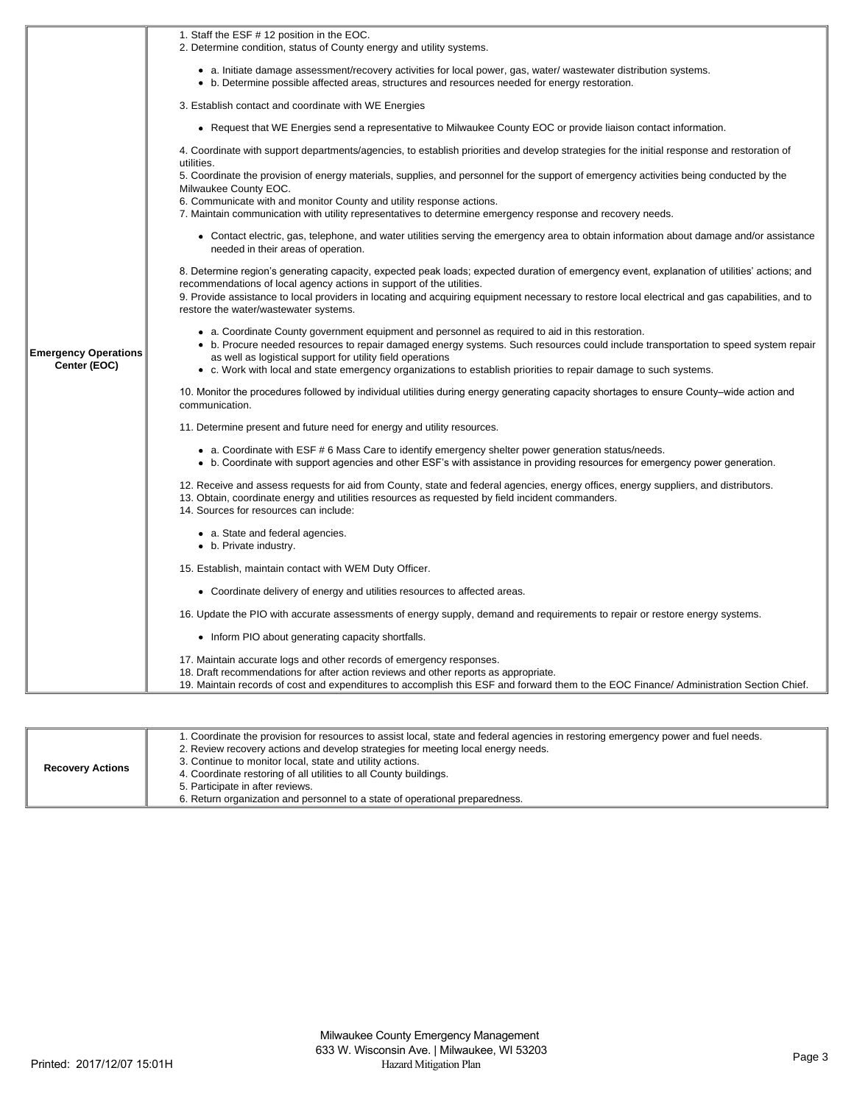|                                             | 1. Staff the ESF # 12 position in the EOC.                                                                                                                                                                                                                                                                                                                                                                                |
|---------------------------------------------|---------------------------------------------------------------------------------------------------------------------------------------------------------------------------------------------------------------------------------------------------------------------------------------------------------------------------------------------------------------------------------------------------------------------------|
|                                             | 2. Determine condition, status of County energy and utility systems.                                                                                                                                                                                                                                                                                                                                                      |
|                                             | • a. Initiate damage assessment/recovery activities for local power, gas, water/ wastewater distribution systems.                                                                                                                                                                                                                                                                                                         |
|                                             | • b. Determine possible affected areas, structures and resources needed for energy restoration.                                                                                                                                                                                                                                                                                                                           |
|                                             | 3. Establish contact and coordinate with WE Energies                                                                                                                                                                                                                                                                                                                                                                      |
|                                             | • Request that WE Energies send a representative to Milwaukee County EOC or provide liaison contact information.                                                                                                                                                                                                                                                                                                          |
|                                             | 4. Coordinate with support departments/agencies, to establish priorities and develop strategies for the initial response and restoration of<br>utilities.                                                                                                                                                                                                                                                                 |
|                                             | 5. Coordinate the provision of energy materials, supplies, and personnel for the support of emergency activities being conducted by the<br>Milwaukee County EOC.                                                                                                                                                                                                                                                          |
|                                             | 6. Communicate with and monitor County and utility response actions.                                                                                                                                                                                                                                                                                                                                                      |
|                                             | 7. Maintain communication with utility representatives to determine emergency response and recovery needs.                                                                                                                                                                                                                                                                                                                |
| <b>Emergency Operations</b><br>Center (EOC) | • Contact electric, gas, telephone, and water utilities serving the emergency area to obtain information about damage and/or assistance<br>needed in their areas of operation.                                                                                                                                                                                                                                            |
|                                             | 8. Determine region's generating capacity, expected peak loads; expected duration of emergency event, explanation of utilities' actions; and<br>recommendations of local agency actions in support of the utilities.                                                                                                                                                                                                      |
|                                             | 9. Provide assistance to local providers in locating and acquiring equipment necessary to restore local electrical and gas capabilities, and to<br>restore the water/wastewater systems.                                                                                                                                                                                                                                  |
|                                             | • a. Coordinate County government equipment and personnel as required to aid in this restoration.<br>• b. Procure needed resources to repair damaged energy systems. Such resources could include transportation to speed system repair<br>as well as logistical support for utility field operations<br>• c. Work with local and state emergency organizations to establish priorities to repair damage to such systems. |
|                                             |                                                                                                                                                                                                                                                                                                                                                                                                                           |
|                                             | 10. Monitor the procedures followed by individual utilities during energy generating capacity shortages to ensure County–wide action and<br>communication.                                                                                                                                                                                                                                                                |
|                                             | 11. Determine present and future need for energy and utility resources.                                                                                                                                                                                                                                                                                                                                                   |
|                                             | • a. Coordinate with ESF #6 Mass Care to identify emergency shelter power generation status/needs.<br>• b. Coordinate with support agencies and other ESF's with assistance in providing resources for emergency power generation.                                                                                                                                                                                        |
|                                             | 12. Receive and assess requests for aid from County, state and federal agencies, energy offices, energy suppliers, and distributors.<br>13. Obtain, coordinate energy and utilities resources as requested by field incident commanders.<br>14. Sources for resources can include:                                                                                                                                        |
|                                             | • a. State and federal agencies.<br>• b. Private industry.                                                                                                                                                                                                                                                                                                                                                                |
|                                             | 15. Establish, maintain contact with WEM Duty Officer.                                                                                                                                                                                                                                                                                                                                                                    |
|                                             | • Coordinate delivery of energy and utilities resources to affected areas.                                                                                                                                                                                                                                                                                                                                                |
|                                             | 16. Update the PIO with accurate assessments of energy supply, demand and requirements to repair or restore energy systems.                                                                                                                                                                                                                                                                                               |
|                                             | • Inform PIO about generating capacity shortfalls.                                                                                                                                                                                                                                                                                                                                                                        |
|                                             | 17. Maintain accurate logs and other records of emergency responses.<br>18. Draft recommendations for after action reviews and other reports as appropriate.<br>19. Maintain records of cost and expenditures to accomplish this ESF and forward them to the EOC Finance/ Administration Section Chief.                                                                                                                   |
|                                             |                                                                                                                                                                                                                                                                                                                                                                                                                           |

| <b>Recovery Actions</b> | 1. Coordinate the provision for resources to assist local, state and federal agencies in restoring emergency power and fuel needs.<br>2. Review recovery actions and develop strategies for meeting local energy needs.<br>3. Continue to monitor local, state and utility actions.<br>4. Coordinate restoring of all utilities to all County buildings.<br>5. Participate in after reviews.<br>6. Return organization and personnel to a state of operational preparedness. |
|-------------------------|------------------------------------------------------------------------------------------------------------------------------------------------------------------------------------------------------------------------------------------------------------------------------------------------------------------------------------------------------------------------------------------------------------------------------------------------------------------------------|
|-------------------------|------------------------------------------------------------------------------------------------------------------------------------------------------------------------------------------------------------------------------------------------------------------------------------------------------------------------------------------------------------------------------------------------------------------------------------------------------------------------------|